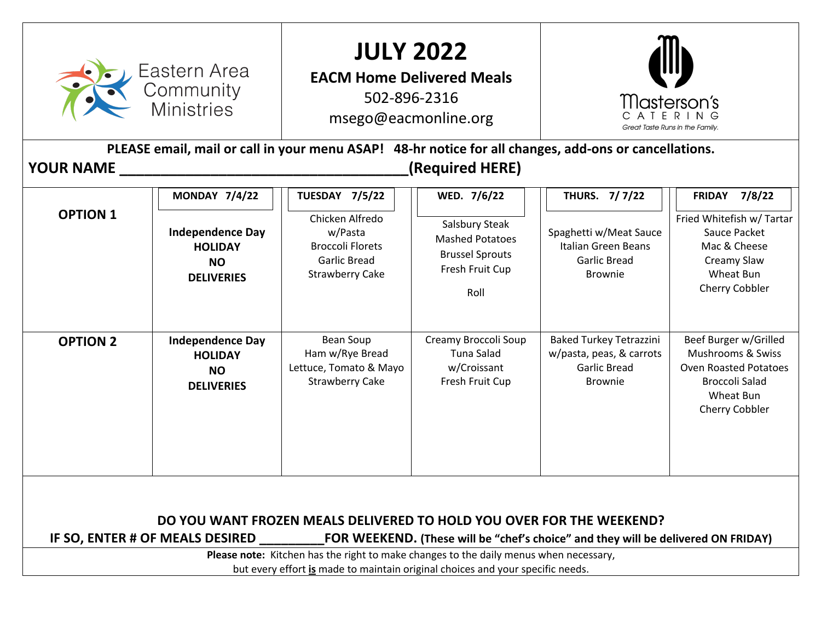| Eastern Area<br>Community<br><b>Ministries</b><br><b>YOUR NAME</b>                                                                                                                                                                                                                                                                                                                                                                                                                                                                                                                                                      |                                                                             | <b>JULY 2022</b><br><b>EACM Home Delivered Meals</b><br>502-896-2316<br>msego@eacmonline.org<br>PLEASE email, mail or call in your menu ASAP! 48-hr notice for all changes, add-ons or cancellations.<br>(Required HERE) |                                                                      | <i>IIIasterson's</i><br>Great Taste Runs in the Family.                                             |                                                                                                                             |
|-------------------------------------------------------------------------------------------------------------------------------------------------------------------------------------------------------------------------------------------------------------------------------------------------------------------------------------------------------------------------------------------------------------------------------------------------------------------------------------------------------------------------------------------------------------------------------------------------------------------------|-----------------------------------------------------------------------------|--------------------------------------------------------------------------------------------------------------------------------------------------------------------------------------------------------------------------|----------------------------------------------------------------------|-----------------------------------------------------------------------------------------------------|-----------------------------------------------------------------------------------------------------------------------------|
| <b>MONDAY 7/4/22</b><br><b>TUESDAY 7/5/22</b><br>THURS. 7/7/22<br><b>FRIDAY 7/8/22</b><br>WED. 7/6/22<br><b>OPTION 1</b><br>Chicken Alfredo<br>Fried Whitefish w/ Tartar<br>Salsbury Steak<br><b>Independence Day</b><br>Spaghetti w/Meat Sauce<br>w/Pasta<br>Sauce Packet<br><b>Mashed Potatoes</b><br><b>Broccoli Florets</b><br>Italian Green Beans<br>Mac & Cheese<br><b>HOLIDAY</b><br><b>Brussel Sprouts</b><br><b>Garlic Bread</b><br><b>Garlic Bread</b><br>Creamy Slaw<br><b>NO</b><br>Fresh Fruit Cup<br><b>Strawberry Cake</b><br>Wheat Bun<br><b>Brownie</b><br><b>DELIVERIES</b><br>Cherry Cobbler<br>Roll |                                                                             |                                                                                                                                                                                                                          |                                                                      |                                                                                                     |                                                                                                                             |
| <b>OPTION 2</b>                                                                                                                                                                                                                                                                                                                                                                                                                                                                                                                                                                                                         | <b>Independence Day</b><br><b>HOLIDAY</b><br><b>NO</b><br><b>DELIVERIES</b> | <b>Bean Soup</b><br>Ham w/Rye Bread<br>Lettuce, Tomato & Mayo<br><b>Strawberry Cake</b>                                                                                                                                  | Creamy Broccoli Soup<br>Tuna Salad<br>w/Croissant<br>Fresh Fruit Cup | <b>Baked Turkey Tetrazzini</b><br>w/pasta, peas, & carrots<br><b>Garlic Bread</b><br><b>Brownie</b> | Beef Burger w/Grilled<br>Mushrooms & Swiss<br><b>Oven Roasted Potatoes</b><br>Broccoli Salad<br>Wheat Bun<br>Cherry Cobbler |
| DO YOU WANT FROZEN MEALS DELIVERED TO HOLD YOU OVER FOR THE WEEKEND?<br>IF SO, ENTER # OF MEALS DESIRED<br><b>FOR WEEKEND.</b> (These will be "chef's choice" and they will be delivered ON FRIDAY)<br>Please note: Kitchen has the right to make changes to the daily menus when necessary,<br>but every effort is made to maintain original choices and your specific needs.                                                                                                                                                                                                                                          |                                                                             |                                                                                                                                                                                                                          |                                                                      |                                                                                                     |                                                                                                                             |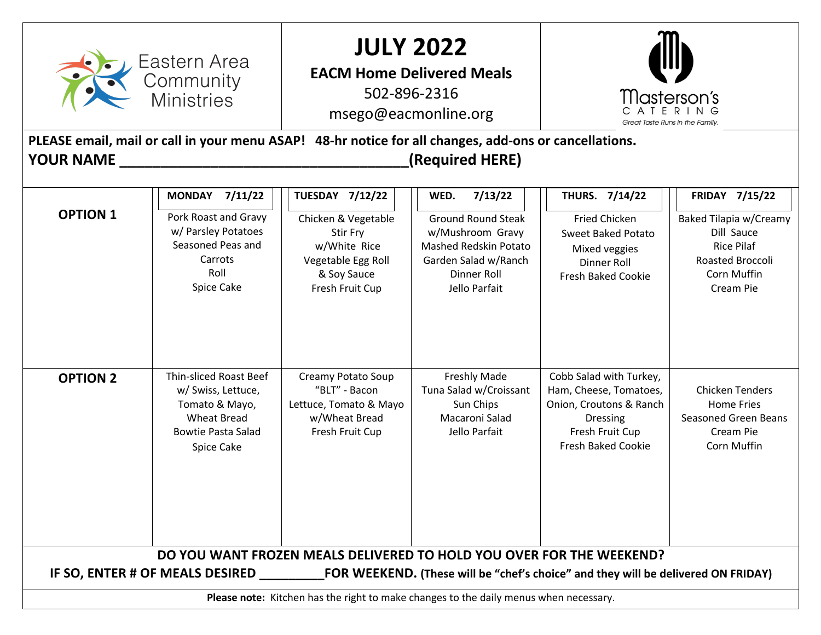| 7/11/22<br><b>TUESDAY 7/12/22</b><br>7/13/22<br>THURS. 7/14/22<br><b>FRIDAY 7/15/22</b><br><b>MONDAY</b><br>WED.<br><b>OPTION 1</b><br>Pork Roast and Gravy<br><b>Ground Round Steak</b><br>Chicken & Vegetable<br><b>Fried Chicken</b><br>Baked Tilapia w/Creamy<br>w/ Parsley Potatoes<br>Dill Sauce<br>w/Mushroom Gravy<br>Stir Fry<br><b>Sweet Baked Potato</b><br>Seasoned Peas and<br>w/White Rice<br><b>Mashed Redskin Potato</b><br><b>Rice Pilaf</b><br>Mixed veggies<br>Carrots<br>Vegetable Egg Roll<br>Garden Salad w/Ranch<br>Roasted Broccoli<br>Dinner Roll<br>Roll<br>& Soy Sauce<br>Dinner Roll<br><b>Corn Muffin</b><br><b>Fresh Baked Cookie</b><br>Spice Cake<br>Fresh Fruit Cup<br>Jello Parfait<br>Cream Pie<br><b>Thin-sliced Roast Beef</b><br>Cobb Salad with Turkey,<br>Creamy Potato Soup<br><b>Freshly Made</b><br><b>OPTION 2</b><br>"BLT" - Bacon<br>Tuna Salad w/Croissant<br>Ham, Cheese, Tomatoes,<br><b>Chicken Tenders</b><br>w/ Swiss, Lettuce,<br>Lettuce, Tomato & Mayo<br>Sun Chips<br>Onion, Croutons & Ranch<br><b>Home Fries</b><br>Tomato & Mayo,<br><b>Wheat Bread</b><br>w/Wheat Bread<br>Macaroni Salad<br><b>Seasoned Green Beans</b><br><b>Dressing</b><br><b>Bowtie Pasta Salad</b><br>Fresh Fruit Cup<br>Jello Parfait<br>Fresh Fruit Cup<br>Cream Pie<br><b>Fresh Baked Cookie</b><br>Corn Muffin<br>Spice Cake | Eastern Area<br>Community<br><b>Ministries</b><br><b>YOUR NAME</b> |  | <b>JULY 2022</b><br><b>EACM Home Delivered Meals</b><br>502-896-2316<br>msego@eacmonline.org<br>PLEASE email, mail or call in your menu ASAP! 48-hr notice for all changes, add-ons or cancellations.<br>(Required HERE) |  | Masterson's<br>CATERING<br>Great Taste Runs in the Family. |  |
|--------------------------------------------------------------------------------------------------------------------------------------------------------------------------------------------------------------------------------------------------------------------------------------------------------------------------------------------------------------------------------------------------------------------------------------------------------------------------------------------------------------------------------------------------------------------------------------------------------------------------------------------------------------------------------------------------------------------------------------------------------------------------------------------------------------------------------------------------------------------------------------------------------------------------------------------------------------------------------------------------------------------------------------------------------------------------------------------------------------------------------------------------------------------------------------------------------------------------------------------------------------------------------------------------------------------------------------------------------------------|--------------------------------------------------------------------|--|--------------------------------------------------------------------------------------------------------------------------------------------------------------------------------------------------------------------------|--|------------------------------------------------------------|--|
|                                                                                                                                                                                                                                                                                                                                                                                                                                                                                                                                                                                                                                                                                                                                                                                                                                                                                                                                                                                                                                                                                                                                                                                                                                                                                                                                                                    |                                                                    |  |                                                                                                                                                                                                                          |  |                                                            |  |
| DO YOU WANT FROZEN MEALS DELIVERED TO HOLD YOU OVER FOR THE WEEKEND?                                                                                                                                                                                                                                                                                                                                                                                                                                                                                                                                                                                                                                                                                                                                                                                                                                                                                                                                                                                                                                                                                                                                                                                                                                                                                               |                                                                    |  |                                                                                                                                                                                                                          |  |                                                            |  |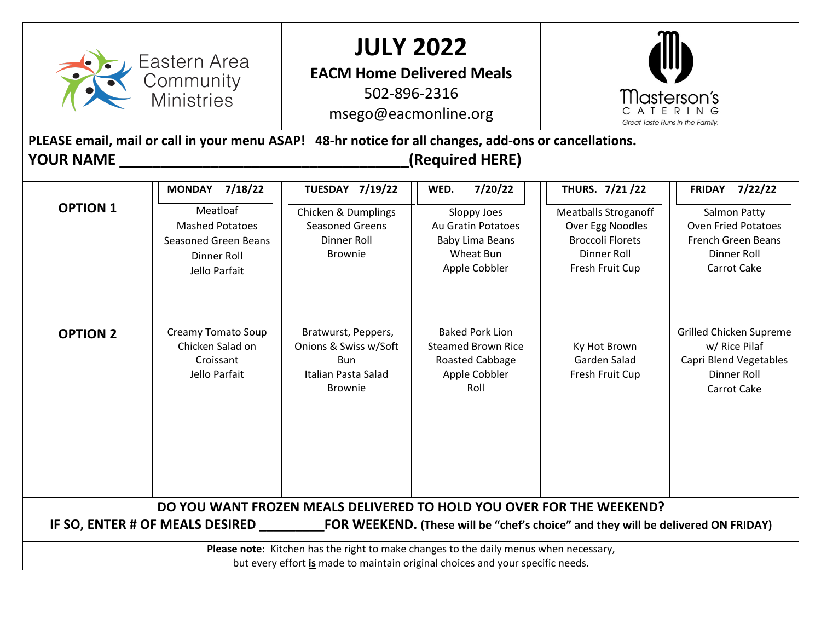| Eastern Area<br>Community<br>Ministries                                                                                                                                                      |                                                                                                                               | <b>JULY 2022</b><br><b>EACM Home Delivered Meals</b><br>502-896-2316<br>msego@eacmonline.org<br>PLEASE email, mail or call in your menu ASAP! 48-hr notice for all changes, add-ons or cancellations. |                                                                                                              | Masterson's<br>ATERING<br>Great Taste Runs in the Family.                                                                             |                                                                                                                                |
|----------------------------------------------------------------------------------------------------------------------------------------------------------------------------------------------|-------------------------------------------------------------------------------------------------------------------------------|-------------------------------------------------------------------------------------------------------------------------------------------------------------------------------------------------------|--------------------------------------------------------------------------------------------------------------|---------------------------------------------------------------------------------------------------------------------------------------|--------------------------------------------------------------------------------------------------------------------------------|
| <b>YOUR NAME</b>                                                                                                                                                                             |                                                                                                                               |                                                                                                                                                                                                       | (Required HERE)                                                                                              |                                                                                                                                       |                                                                                                                                |
| <b>OPTION 1</b>                                                                                                                                                                              | <b>MONDAY</b><br>7/18/22<br>Meatloaf<br><b>Mashed Potatoes</b><br><b>Seasoned Green Beans</b><br>Dinner Roll<br>Jello Parfait | <b>TUESDAY 7/19/22</b><br>Chicken & Dumplings<br><b>Seasoned Greens</b><br>Dinner Roll<br><b>Brownie</b>                                                                                              | WED.<br>7/20/22<br>Sloppy Joes<br>Au Gratin Potatoes<br><b>Baby Lima Beans</b><br>Wheat Bun<br>Apple Cobbler | THURS. 7/21/22<br><b>Meatballs Stroganoff</b><br>Over Egg Noodles<br><b>Broccoli Florets</b><br><b>Dinner Roll</b><br>Fresh Fruit Cup | <b>FRIDAY 7/22/22</b><br>Salmon Patty<br><b>Oven Fried Potatoes</b><br><b>French Green Beans</b><br>Dinner Roll<br>Carrot Cake |
| <b>OPTION 2</b>                                                                                                                                                                              | Creamy Tomato Soup<br>Chicken Salad on<br>Croissant<br>Jello Parfait                                                          | Bratwurst, Peppers,<br>Onions & Swiss w/Soft<br><b>Bun</b><br>Italian Pasta Salad<br><b>Brownie</b>                                                                                                   | <b>Baked Pork Lion</b><br><b>Steamed Brown Rice</b><br>Roasted Cabbage<br>Apple Cobbler<br>Roll              | Ky Hot Brown<br>Garden Salad<br>Fresh Fruit Cup                                                                                       | Grilled Chicken Supreme<br>w/ Rice Pilaf<br>Capri Blend Vegetables<br><b>Dinner Roll</b><br>Carrot Cake                        |
| DO YOU WANT FROZEN MEALS DELIVERED TO HOLD YOU OVER FOR THE WEEKEND?<br>IF SO, ENTER # OF MEALS DESIRED<br>FOR WEEKEND. (These will be "chef's choice" and they will be delivered ON FRIDAY) |                                                                                                                               |                                                                                                                                                                                                       |                                                                                                              |                                                                                                                                       |                                                                                                                                |
| Please note: Kitchen has the right to make changes to the daily menus when necessary,<br>but every effort is made to maintain original choices and your specific needs.                      |                                                                                                                               |                                                                                                                                                                                                       |                                                                                                              |                                                                                                                                       |                                                                                                                                |